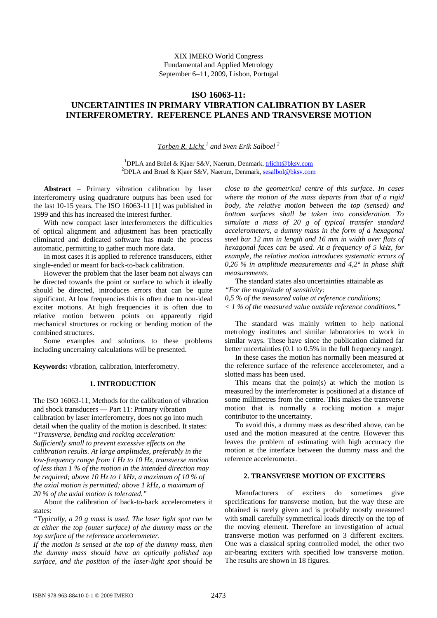# XIX IMEKO World Congress Fundamental and Applied Metrology September 6−11, 2009, Lisbon, Portugal

# **ISO 16063-11: UNCERTAINTIES IN PRIMARY VIBRATION CALIBRATION BY LASER INTERFEROMETRY. REFERENCE PLANES AND TRANSVERSE MOTION**

### *Torben R. Licht 1 and Sven Erik Salboel <sup>2</sup>*

<sup>1</sup>DPLA and Brüel & Kjaer S&V, Naerum, Denmark, [trlicht@bksv.com](mailto:trlicht@bksv.com) <sup>2</sup> DPLA and Brüel & Kjaer S&V, Naerum, Denmark, [sesalbol@bksv.com](mailto:sesalbol@bksv.com)

**Abstract** − Primary vibration calibration by laser interferometry using quadrature outputs has been used for the last 10-15 years. The ISO 16063-11 [1] was published in 1999 and this has increased the interest further.

With new compact laser interferometers the difficulties of optical alignment and adjustment has been practically eliminated and dedicated software has made the process automatic, permitting to gather much more data.

In most cases it is applied to reference transducers, either single-ended or meant for back-to-back calibration.

However the problem that the laser beam not always can be directed towards the point or surface to which it ideally should be directed, introduces errors that can be quite significant. At low frequencies this is often due to non-ideal exciter motions. At high frequencies it is often due to relative motion between points on apparently rigid mechanical structures or rocking or bending motion of the combined structures.

Some examples and solutions to these problems including uncertainty calculations will be presented.

**Keywords:** vibration, calibration, interferometry.

### **1. INTRODUCTION**

The ISO 16063-11, Methods for the calibration of vibration and shock transducers — Part 11: Primary vibration calibration by laser interferometry, does not go into much detail when the quality of the motion is described. It states: *"Transverse, bending and rocking acceleration:* 

*Sufficiently small to prevent excessive effects on the calibration results. At large amplitudes, preferably in the low-frequency range from 1 Hz to 10 Hz, transverse motion of less than 1 % of the motion in the intended direction may be required; above 10 Hz to 1 kHz, a maximum of 10 % of the axial motion is permitted; above 1 kHz, a maximum of 20 % of the axial motion is tolerated."* 

About the calibration of back-to-back accelerometers it states:

*"Typically, a 20 g mass is used. The laser light spot can be at either the top (outer surface) of the dummy mass or the top surface of the reference accelerometer.* 

*If the motion is sensed at the top of the dummy mass, then the dummy mass should have an optically polished top surface, and the position of the laser-light spot should be*  *close to the geometrical centre of this surface. In cases where the motion of the mass departs from that of a rigid body, the relative motion between the top (sensed) and bottom surfaces shall be taken into consideration. To simulate a mass of 20 g of typical transfer standard accelerometers, a dummy mass in the form of a hexagonal steel bar 12 mm in length and 16 mm in width over flats of hexagonal faces can be used. At a frequency of 5 kHz, for example, the relative motion introduces systematic errors of 0,26 % in amplitude measurements and 4,2° in phase shift measurements.* 

The standard states also uncertainties attainable as

*"For the magnitude of sensitivity:* 

*0,5 % of the measured value at reference conditions;* 

*< 1 % of the measured value outside reference conditions."* 

The standard was mainly written to help national metrology institutes and similar laboratories to work in similar ways. These have since the publication claimed far better uncertainties (0.1 to 0.5% in the full frequency range).

In these cases the motion has normally been measured at the reference surface of the reference accelerometer, and a slotted mass has been used.

This means that the point $(s)$  at which the motion is measured by the interferometer is positioned at a distance of some millimetres from the centre. This makes the transverse motion that is normally a rocking motion a major contributor to the uncertainty.

To avoid this, a dummy mass as described above, can be used and the motion measured at the centre. However this leaves the problem of estimating with high accuracy the motion at the interface between the dummy mass and the reference accelerometer.

#### **2. TRANSVERSE MOTION OF EXCITERS**

Manufacturers of exciters do sometimes give specifications for transverse motion, but the way these are obtained is rarely given and is probably mostly measured with small carefully symmetrical loads directly on the top of the moving element. Therefore an investigation of actual transverse motion was performed on 3 different exciters. One was a classical spring controlled model, the other two air-bearing exciters with specified low transverse motion. The results are shown in 18 figures.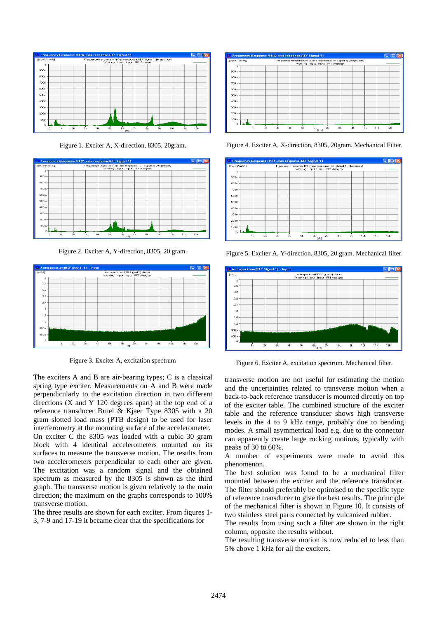

Figure 1. Exciter A, X-direction, 8305, 20gram.



Figure 2. Exciter A, Y-direction, 8305, 20 gram.



Figure 3. Exciter A, excitation spectrum

The exciters A and B are air-bearing types; C is a classical spring type exciter. Measurements on A and B were made perpendicularly to the excitation direction in two different directions (X and Y 120 degrees apart) at the top end of a reference transducer Brüel & Kjaer Type 8305 with a 20 gram slotted load mass (PTB design) to be used for laser interferometry at the mounting surface of the accelerometer. On exciter C the 8305 was loaded with a cubic 30 gram block with 4 identical accelerometers mounted on its surfaces to measure the transverse motion. The results from two accelerometers perpendicular to each other are given. The excitation was a random signal and the obtained spectrum as measured by the 8305 is shown as the third graph. The transverse motion is given relatively to the main direction; the maximum on the graphs corresponds to 100% transverse motion.

The three results are shown for each exciter. From figures 1- 3, 7-9 and 17-19 it became clear that the specifications for



Figure 4. Exciter A, X-direction, 8305, 20gram. Mechanical Filter.



Figure 5. Exciter A, Y-direction, 8305, 20 gram. Mechanical filter.



Figure 6. Exciter A, excitation spectrum. Mechanical filter.

transverse motion are not useful for estimating the motion and the uncertainties related to transverse motion when a back-to-back reference transducer is mounted directly on top of the exciter table. The combined structure of the exciter table and the reference transducer shows high transverse levels in the 4 to 9 kHz range, probably due to bending modes. A small asymmetrical load e.g. due to the connector can apparently create large rocking motions, typically with peaks of 30 to 60%.

A number of experiments were made to avoid this phenomenon.

The best solution was found to be a mechanical filter mounted between the exciter and the reference transducer. The filter should preferably be optimised to the specific type of reference transducer to give the best results. The principle of the mechanical filter is shown in [Figure 10.](#page-2-0) It consists of two stainless steel parts connected by vulcanized rubber.

The results from using such a filter are shown in the right column, opposite the results without.

The resulting transverse motion is now reduced to less than 5% above 1 kHz for all the exciters.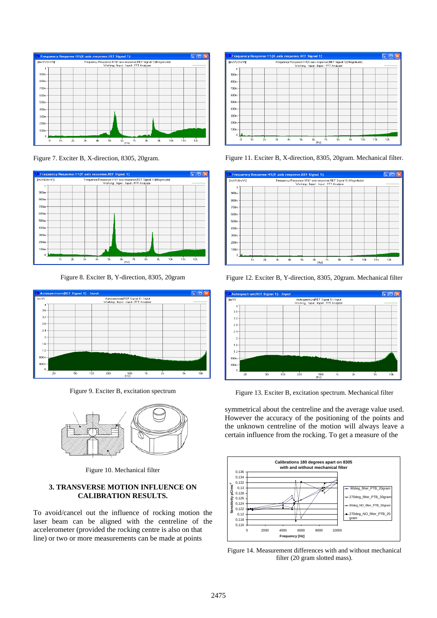

Figure 7. Exciter B, X-direction, 8305, 20gram.



Figure 8. Exciter B, Y-direction, 8305, 20gram



<span id="page-2-0"></span>Figure 9. Exciter B, excitation spectrum



Figure 10. Mechanical filter

### **3. TRANSVERSE MOTION INFLUENCE ON CALIBRATION RESULTS.**

To avoid/cancel out the influence of rocking motion the laser beam can be aligned with the centreline of the accelerometer (provided the rocking centre is also on that line) or two or more measurements can be made at points



Figure 11. Exciter B, X-direction, 8305, 20gram. Mechanical filter.





Figure 12. Exciter B, Y-direction, 8305, 20gram. Mechanical filter

Figure 13. Exciter B, excitation spectrum. Mechanical filter

symmetrical about the centreline and the average value used. However the accuracy of the positioning of the points and the unknown centreline of the motion will always leave a certain influence from the rocking. To get a measure of the



<span id="page-2-1"></span>Figure 14. Measurement differences with and without mechanical filter (20 gram slotted mass).

2475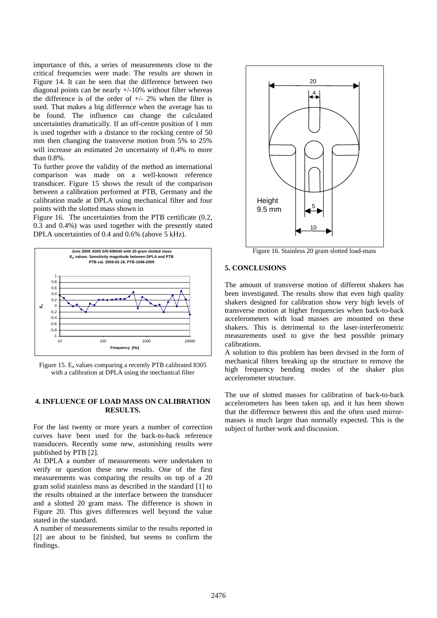importance of this, a series of measurements close to the critical frequencies were made. The results are shown in [Figure 14.](#page-2-1) It can be seen that the difference between two diagonal points can be nearly +/-10% without filter whereas the difference is of the order of  $+/$ - 2% when the filter is used. That makes a big difference when the average has to be found. The influence can change the calculated uncertainties dramatically. If an off-centre position of 1 mm is used together with a distance to the rocking centre of 50 mm then changing the transverse motion from 5% to 25% will increase an estimated  $2\sigma$  uncertainty of 0.4% to more than 0.8%.

To further prove the validity of the method an international comparison was made on a well-known reference transducer. [Figure 15](#page-3-0) shows the result of the comparison between a calibration performed at PTB, Germany and the calibration made at DPLA using mechanical filter and four points with the slotted mass shown in

[Figure 16](#page-3-1). The uncertainties from the PTB certificate (0.2, 0.3 and 0.4%) was used together with the presently stated DPLA uncertainties of  $0.4$  and  $0.6\%$  (above  $5$  kHz).

<span id="page-3-0"></span>

Figure 15. En values comparing a recently PTB calibrated 8305 with a calibration at DPLA using the mechanical filter

### **4. INFLUENCE OF LOAD MASS ON CALIBRATION RESULTS.**

For the last twenty or more years a number of correction curves have been used for the back-to-back reference transducers. Recently some new, astonishing results were published by PTB [2].

At DPLA a number of measurements were undertaken to verify or question these new results. One of the first measurements was comparing the results on top of a 20 gram solid stainless mass as described in the standard [1] to the results obtained at the interface between the transducer and a slotted 20 gram mass. The difference is shown in [Figure 20.](#page-4-0) This gives differences well beyond the value stated in the standard.

<span id="page-3-1"></span>A number of measurements similar to the results reported in [2] are about to be finished, but seems to confirm the findings.



Figure 16. Stainless 20 gram slotted load-mass

#### **5. CONCLUSIONS**

The amount of transverse motion of different shakers has been investigated. The results show that even high quality shakers designed for calibration show very high levels of transverse motion at higher frequencies when back-to-back accelerometers with load masses are mounted on these shakers. This is detrimental to the laser-interferometric measurements used to give the best possible primary calibrations.

A solution to this problem has been devised in the form of mechanical filters breaking up the structure to remove the high frequency bending modes of the shaker plus accelerometer structure.

The use of slotted masses for calibration of back-to-back accelerometers has been taken up, and it has been shown that the difference between this and the often used mirrormasses is much larger than normally expected. This is the subject of further work and discussion.